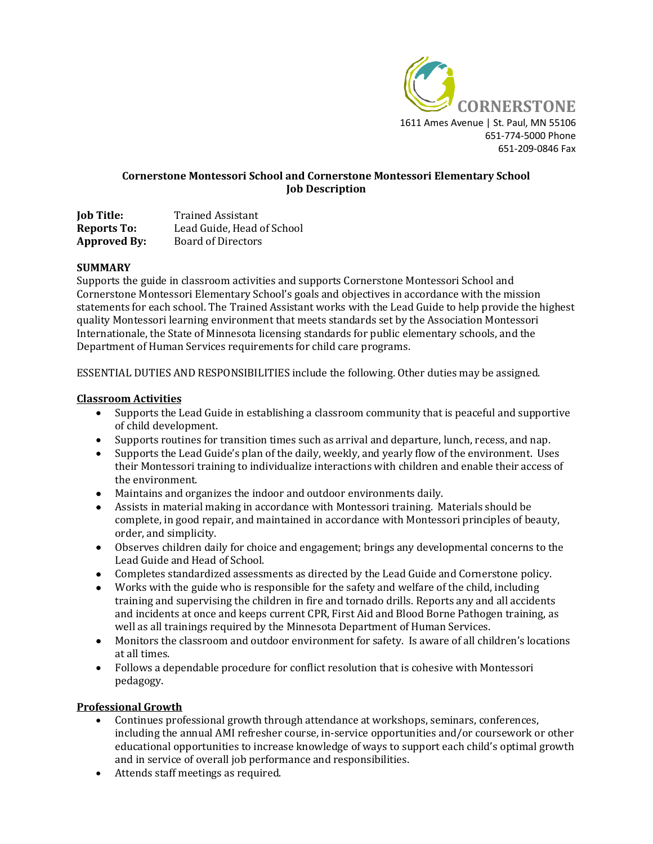

## **Cornerstone Montessori School and Cornerstone Montessori Elementary School Job Description**

| <b>Job Title:</b>   | <b>Trained Assistant</b>   |
|---------------------|----------------------------|
| <b>Reports To:</b>  | Lead Guide, Head of School |
| <b>Approved By:</b> | <b>Board of Directors</b>  |

#### **SUMMARY**

Supports the guide in classroom activities and supports Cornerstone Montessori School and Cornerstone Montessori Elementary School's goals and objectives in accordance with the mission statements for each school. The Trained Assistant works with the Lead Guide to help provide the highest quality Montessori learning environment that meets standards set by the Association Montessori Internationale, the State of Minnesota licensing standards for public elementary schools, and the Department of Human Services requirements for child care programs.

ESSENTIAL DUTIES AND RESPONSIBILITIES include the following. Other duties may be assigned.

#### **Classroom Activities**

- Supports the Lead Guide in establishing a classroom community that is peaceful and supportive of child development.
- Supports routines for transition times such as arrival and departure, lunch, recess, and nap.
- Supports the Lead Guide's plan of the daily, weekly, and yearly flow of the environment. Uses their Montessori training to individualize interactions with children and enable their access of the environment.
- Maintains and organizes the indoor and outdoor environments daily.
- Assists in material making in accordance with Montessori training. Materials should be complete, in good repair, and maintained in accordance with Montessori principles of beauty, order, and simplicity.
- Observes children daily for choice and engagement; brings any developmental concerns to the Lead Guide and Head of School.
- Completes standardized assessments as directed by the Lead Guide and Cornerstone policy.
- Works with the guide who is responsible for the safety and welfare of the child, including training and supervising the children in fire and tornado drills. Reports any and all accidents and incidents at once and keeps current CPR, First Aid and Blood Borne Pathogen training, as well as all trainings required by the Minnesota Department of Human Services.
- Monitors the classroom and outdoor environment for safety. Is aware of all children's locations at all times.
- Follows a dependable procedure for conflict resolution that is cohesive with Montessori pedagogy.

#### **Professional Growth**

- Continues professional growth through attendance at workshops, seminars, conferences, including the annual AMI refresher course, in-service opportunities and/or coursework or other educational opportunities to increase knowledge of ways to support each child's optimal growth and in service of overall job performance and responsibilities.
- Attends staff meetings as required.